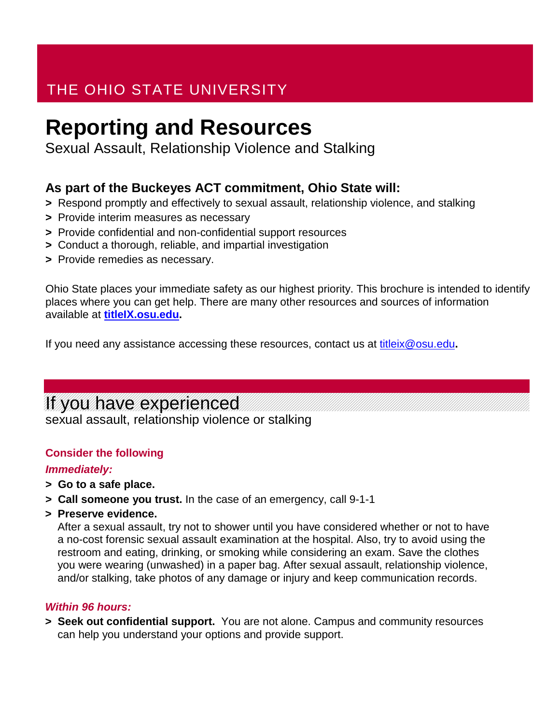## THE OHIO STATE UNIVERSITY

# **Reporting and Resources**

Sexual Assault, Relationship Violence and Stalking

## **As part of the Buckeyes ACT commitment, Ohio State will:**

- **>** Respond promptly and effectively to sexual assault, relationship violence, and stalking
- **>** Provide interim measures as necessary
- **>** Provide confidential and non-confidential support resources
- **>** Conduct a thorough, reliable, and impartial investigation
- **>** Provide remedies as necessary.

Ohio State places your immediate safety as our highest priority. This brochure is intended to identify places where you can get help. There are many other resources and sources of information available at **[titleIX.osu.edu.](http://www.titleix.osu.edu/)**

If you need any assistance accessing these resources, contact us at [titleix@osu.edu](mailto:titleix@osu.edu)**.**

## If you have experienced

sexual assault, relationship violence or stalking

### **Consider the following**

### *Immediately:*

- **> Go to a safe place.**
- **> Call someone you trust.** In the case of an emergency, call 9-1-1
- **> Preserve evidence.**

After a sexual assault, try not to shower until you have considered whether or not to have a no-cost forensic sexual assault examination at the hospital. Also, try to avoid using the restroom and eating, drinking, or smoking while considering an exam. Save the clothes you were wearing (unwashed) in a paper bag. After sexual assault, relationship violence, and/or stalking, take photos of any damage or injury and keep communication records.

### *Within 96 hours:*

**> Seek out confidential support.** You are not alone. Campus and community resources can help you understand your options and provide support.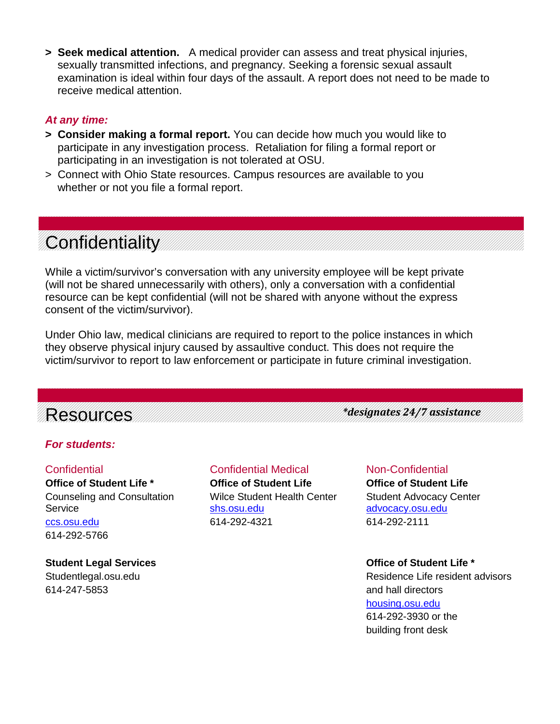**> Seek medical attention.** A medical provider can assess and treat physical injuries, sexually transmitted infections, and pregnancy. Seeking a forensic sexual assault examination is ideal within four days of the assault. A report does not need to be made to receive medical attention.

#### *At any time:*

- **> Consider making a formal report.** You can decide how much you would like to participate in any investigation process. Retaliation for filing a formal report or participating in an investigation is not tolerated at OSU.
- > Connect with Ohio State resources. Campus resources are available to you whether or not you file a formal report.

# **Confidentiality**

While a victim/survivor's conversation with any university employee will be kept private (will not be shared unnecessarily with others), only a conversation with a confidential resource can be kept confidential (will not be shared with anyone without the express consent of the victim/survivor).

Under Ohio law, medical clinicians are required to report to the police instances in which they observe physical injury caused by assaultive conduct. This does not require the victim/survivor to report to law enforcement or participate in future criminal investigation.

## Resources

*For students:* 

**Office of Student Life \* Office of Student Life Office of Student Life** Counseling and Consultation Wilce Student Health Center Student Advocacy Center Service [shs.osu.edu](http://www.shs.osu.edu/) [advocacy.osu.edu](http://www.advocacy.osu.edu/) [ccs.osu.edu](http://www.ccs.osu.edu/) 614-292-4321 614-292-2111 614-292-5766

**Student Legal Services Office of Student Life \*** 614-247-5853 and hall directors

# Confidential Confidential Medical Non-Confidential

*\*designates 24/7 assistance*

Studentlegal.osu.edu **Residence Life resident advisors** Residence Life resident advisors [housing.osu.edu](http://www.housing.osu.edu/) 614-292-3930 or the building front desk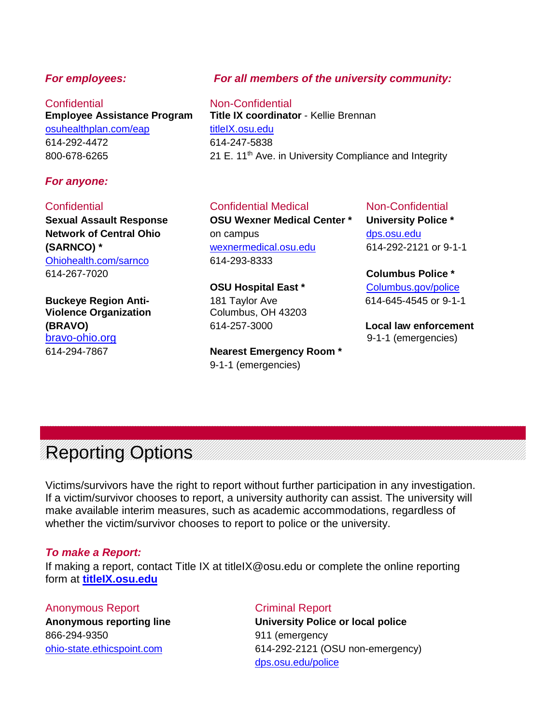**Employee Assistance Program** [osuhealthplan.com/eap](http://www.osuhealthplan.com/eap) [titleIX.osu.edu](http://www.titleix.osu.edu/) 614-292-4472 614-247-5838

### *For anyone:*

[Ohiohealth.com/sarnco](http://www.ohiohealth.com/sarnco) 614-293-8333 614-267-7020 **Columbus Police \***

**Buckeye Region Anti-** 181 Taylor Ave 614-645-4545 or 9-1-1 **Violence Organization** Columbus, OH 43203 **(BRAVO)** 614-257-3000 **Local law enforcement** [bravo-ohio.org](http://www.bravo-ohio.org/) 9-1-1 (emergencies)

### *For employees: For all members of the university community:*

Confidential **Confidential**<br> **Confidential**<br> **Confinator** - Kellie Brennan<br> **Confinator** - Kellie Brennan 800-678-6265 21 E. 11<sup>th</sup> Ave. in University Compliance and Integrity

#### Confidential Confidential Medical Non-Confidential

**Sexual Assault Response OSU Wexner Medical Center \* University Police \* Network of Central Ohio on campus on campus [dps.osu.edu](http://www.dps.osu.edu/) (SARNCO) \*** [wexnermedical.osu.edu](http://www.wexnermedical.osu.edu/) 614-292-2121 or 9-1-1

**OSU Hospital East \*** [Columbus.gov/police](http://www.columbus.gov/police)

614-294-7867 **Nearest Emergency Room \*** 9-1-1 (emergencies)

# Reporting Options

Victims/survivors have the right to report without further participation in any investigation. If a victim/survivor chooses to report, a university authority can assist. The university will make available interim measures, such as academic accommodations, regardless of whether the victim/survivor chooses to report to police or the university.

#### *To make a Report:*

If making a report, contact Title IX at titleIX@osu.edu or complete the online reporting form at **[titleIX.osu.edu](http://www.titleix.osu.edu/)**

### Anonymous Report **Criminal Report**

866-294-9350 911 (emergency

**Anonymous reporting line University Police or local police** [ohio-state.ethicspoint.com](http://www.ohio-state.ethicspoint.com/) 614-292-2121 (OSU non-emergency) [dps.osu.edu/police](http://www.dps.osu.edu/police)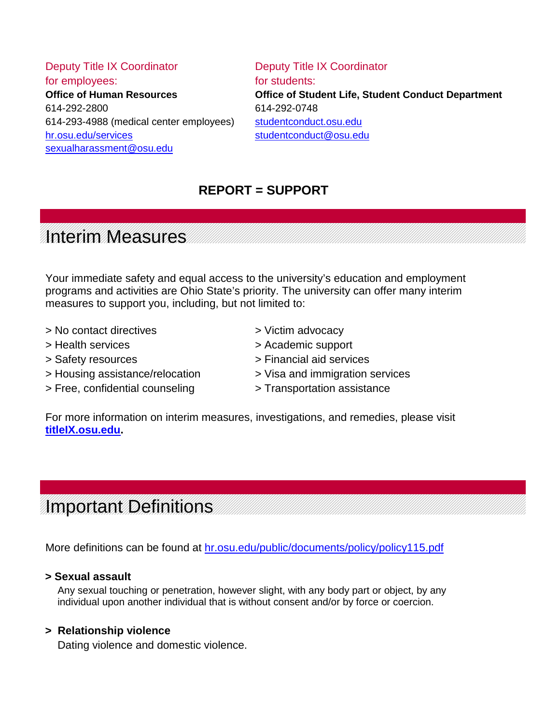Deputy Title IX Coordinator **Deputy Title IX Coordinator** for employees: **for students:** 614-292-2800 614-292-0748 614-293-4988 (medical center employees) [studentconduct.osu.edu](http://www.studentconduct.osu.edu/) [hr.osu.edu/services](http://www.hr.osu.edu/services) [studentconduct@osu.edu](mailto:studentconduct@osu.edu) [sexualharassment@osu.edu](mailto:sexualharassment@osu.edu)

**Office of Human Resources Office of Student Life, Student Conduct Department**

## **REPORT = SUPPORT**

## Interim Measures

Your immediate safety and equal access to the university's education and employment programs and activities are Ohio State's priority. The university can offer many interim measures to support you, including, but not limited to:

- > No contact directives > Victim advocacy
- 
- 
- > Housing assistance/relocation > Visa and immigration services
- > Free, confidential counseling > Transportation assistance
- 
- > Health services > Academic support
- > Safety resources > Financial aid services
	-
	-

For more information on interim measures, investigations, and remedies, please visit **[titleIX.osu.edu.](http://www.titleix.osu.edu/)**

## Important Definitions

More definitions can be found at [hr.osu.edu/public/documents/policy/policy115.pdf](http://www.hr.osu.edu/public/documents/policy/policy115.pdf)

### **> Sexual assault**

Any sexual touching or penetration, however slight, with any body part or object, by any individual upon another individual that is without consent and/or by force or coercion.

### **> Relationship violence**

Dating violence and domestic violence.